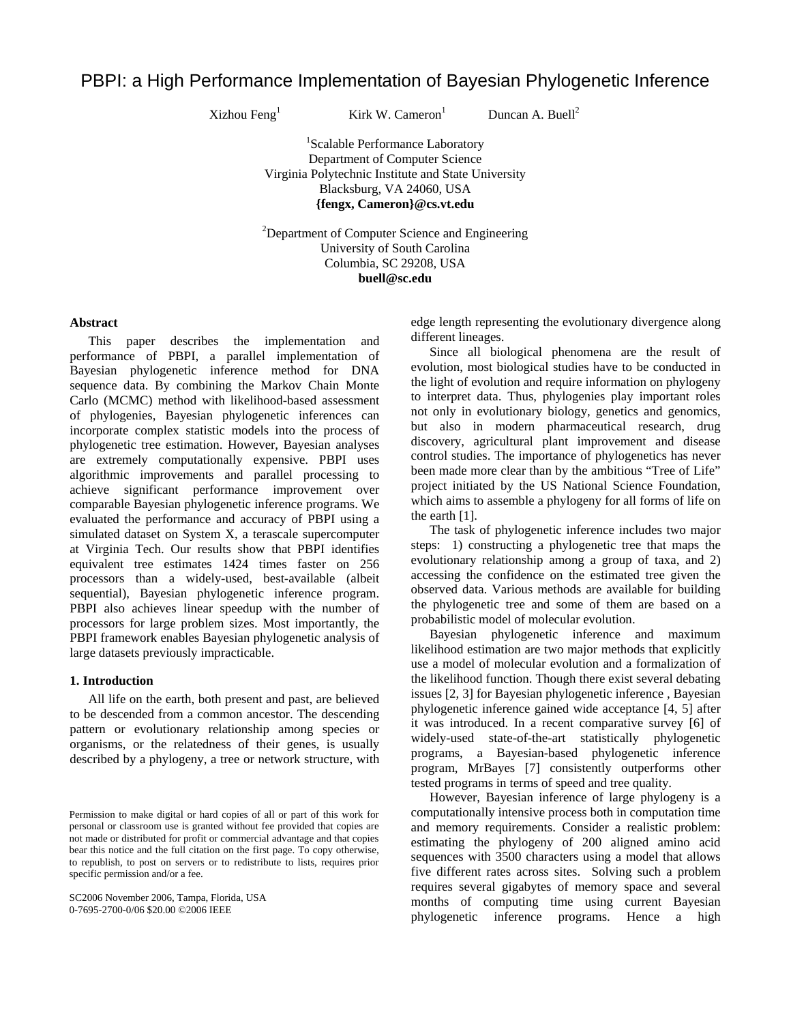# PBPI: a High Performance Implementation of Bayesian Phylogenetic Inference

Xizhou Feng $<sup>1</sup>$ </sup>

Kirk W. Cameron<sup>1</sup>

Duncan A. Buell<sup>2</sup>

1 Scalable Performance Laboratory Department of Computer Science Virginia Polytechnic Institute and State University Blacksburg, VA 24060, USA **{fengx, Cameron}@cs.vt.edu**

 $2$ Department of Computer Science and Engineering University of South Carolina Columbia, SC 29208, USA **buell@sc.edu** 

### **Abstract**

This paper describes the implementation and performance of PBPI, a parallel implementation of Bayesian phylogenetic inference method for DNA sequence data. By combining the Markov Chain Monte Carlo (MCMC) method with likelihood-based assessment of phylogenies, Bayesian phylogenetic inferences can incorporate complex statistic models into the process of phylogenetic tree estimation. However, Bayesian analyses are extremely computationally expensive. PBPI uses algorithmic improvements and parallel processing to achieve significant performance improvement over comparable Bayesian phylogenetic inference programs. We evaluated the performance and accuracy of PBPI using a simulated dataset on System X, a terascale supercomputer at Virginia Tech. Our results show that PBPI identifies equivalent tree estimates 1424 times faster on 256 processors than a widely-used, best-available (albeit sequential), Bayesian phylogenetic inference program. PBPI also achieves linear speedup with the number of processors for large problem sizes. Most importantly, the PBPI framework enables Bayesian phylogenetic analysis of large datasets previously impracticable.

### **1. Introduction**

All life on the earth, both present and past, are believed to be descended from a common ancestor. The descending pattern or evolutionary relationship among species or organisms, or the relatedness of their genes, is usually described by a phylogeny, a tree or network structure, with

SC2006 November 2006, Tampa, Florida, USA 0-7695-2700-0/06 \$20.00 ©2006 IEEE

edge length representing the evolutionary divergence along different lineages.

Since all biological phenomena are the result of evolution, most biological studies have to be conducted in the light of evolution and require information on phylogeny to interpret data. Thus, phylogenies play important roles not only in evolutionary biology, genetics and genomics, but also in modern pharmaceutical research, drug discovery, agricultural plant improvement and disease control studies. The importance of phylogenetics has never been made more clear than by the ambitious "Tree of Life" project initiated by the US National Science Foundation, which aims to assemble a phylogeny for all forms of life on the earth [1].

The task of phylogenetic inference includes two major steps: 1) constructing a phylogenetic tree that maps the evolutionary relationship among a group of taxa, and 2) accessing the confidence on the estimated tree given the observed data. Various methods are available for building the phylogenetic tree and some of them are based on a probabilistic model of molecular evolution.

Bayesian phylogenetic inference and maximum likelihood estimation are two major methods that explicitly use a model of molecular evolution and a formalization of the likelihood function. Though there exist several debating issues [2, 3] for Bayesian phylogenetic inference , Bayesian phylogenetic inference gained wide acceptance [4, 5] after it was introduced. In a recent comparative survey [6] of widely-used state-of-the-art statistically phylogenetic programs, a Bayesian-based phylogenetic inference program, MrBayes [7] consistently outperforms other tested programs in terms of speed and tree quality.

However, Bayesian inference of large phylogeny is a computationally intensive process both in computation time and memory requirements. Consider a realistic problem: estimating the phylogeny of 200 aligned amino acid sequences with 3500 characters using a model that allows five different rates across sites. Solving such a problem requires several gigabytes of memory space and several months of computing time using current Bayesian phylogenetic inference programs. Hence a high

Permission to make digital or hard copies of all or part of this work for personal or classroom use is granted without fee provided that copies are not made or distributed for profit or commercial advantage and that copies bear this notice and the full citation on the first page. To copy otherwise, to republish, to post on servers or to redistribute to lists, requires prior specific permission and/or a fee.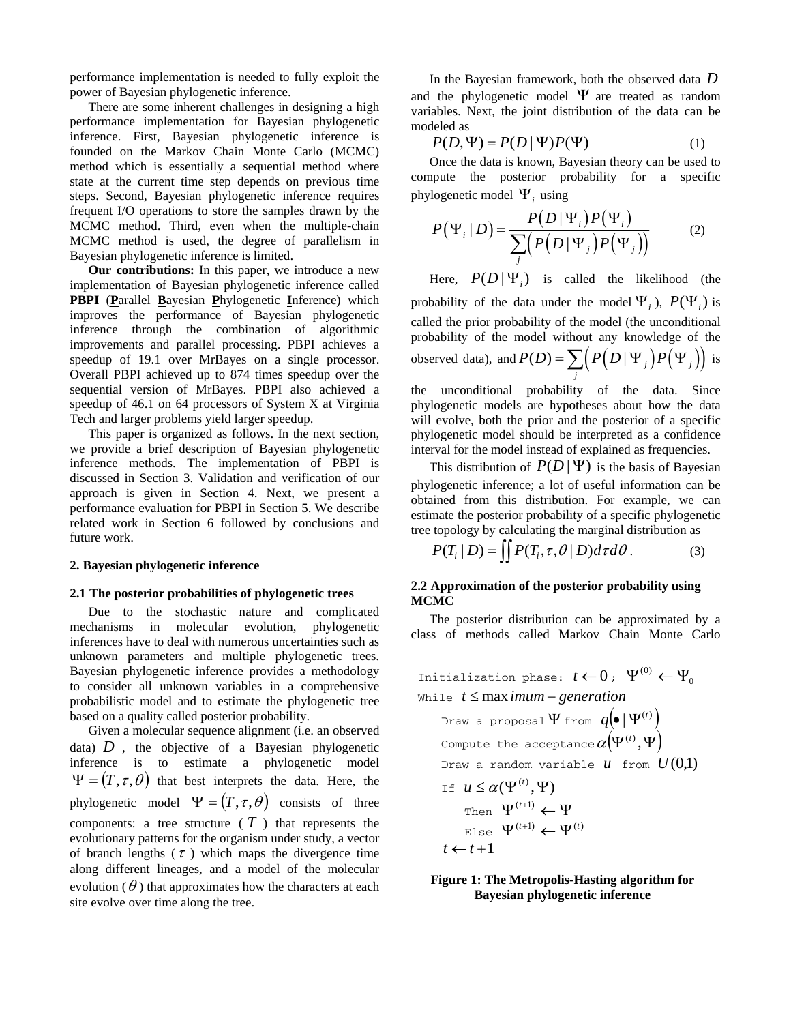performance implementation is needed to fully exploit the power of Bayesian phylogenetic inference.

There are some inherent challenges in designing a high performance implementation for Bayesian phylogenetic inference. First, Bayesian phylogenetic inference is founded on the Markov Chain Monte Carlo (MCMC) method which is essentially a sequential method where state at the current time step depends on previous time steps. Second, Bayesian phylogenetic inference requires frequent I/O operations to store the samples drawn by the MCMC method. Third, even when the multiple-chain MCMC method is used, the degree of parallelism in Bayesian phylogenetic inference is limited.

**Our contributions:** In this paper, we introduce a new implementation of Bayesian phylogenetic inference called **PBPI** (**P**arallel **B**ayesian **P**hylogenetic **I**nference) which improves the performance of Bayesian phylogenetic inference through the combination of algorithmic improvements and parallel processing. PBPI achieves a speedup of 19.1 over MrBayes on a single processor. Overall PBPI achieved up to 874 times speedup over the sequential version of MrBayes. PBPI also achieved a speedup of 46.1 on 64 processors of System X at Virginia Tech and larger problems yield larger speedup.

This paper is organized as follows. In the next section, we provide a brief description of Bayesian phylogenetic inference methods. The implementation of PBPI is discussed in Section 3. Validation and verification of our approach is given in Section 4. Next, we present a performance evaluation for PBPI in Section 5. We describe related work in Section 6 followed by conclusions and future work.

#### **2. Bayesian phylogenetic inference**

#### **2.1 The posterior probabilities of phylogenetic trees**

Due to the stochastic nature and complicated mechanisms in molecular evolution, phylogenetic inferences have to deal with numerous uncertainties such as unknown parameters and multiple phylogenetic trees. Bayesian phylogenetic inference provides a methodology to consider all unknown variables in a comprehensive probabilistic model and to estimate the phylogenetic tree based on a quality called posterior probability.

Given a molecular sequence alignment (i.e. an observed data)  $D$ , the objective of a Bayesian phylogenetic inference is to estimate a phylogenetic model  $\Psi = (T, \tau, \theta)$  that best interprets the data. Here, the phylogenetic model  $\Psi = (T, \tau, \theta)$  consists of three components: a tree structure  $(T)$  that represents the evolutionary patterns for the organism under study, a vector of branch lengths  $(\tau)$  which maps the divergence time along different lineages, and a model of the molecular evolution ( $\theta$ ) that approximates how the characters at each site evolve over time along the tree.

In the Bayesian framework, both the observed data *D* and the phylogenetic model  $\Psi$  are treated as random variables. Next, the joint distribution of the data can be modeled as

$$
P(D, \Psi) = P(D | \Psi)P(\Psi)
$$
 (1)

Once the data is known, Bayesian theory can be used to compute the posterior probability for a specific phylogenetic model Ψ*i* using

$$
P(\Psi_i | D) = \frac{P(D | \Psi_i) P(\Psi_i)}{\sum_j (P(D | \Psi_j) P(\Psi_j))}
$$
(2)

Here,  $P(D | \Psi_i)$  is called the likelihood (the probability of the data under the model  $\Psi_i$ ,  $P(\Psi_i)$  is called the prior probability of the model (the unconditional probability of the model without any knowledge of the observed data), and  $P(D) = \sum_{i} ( P(D | \Psi_{i} ) P(\Psi_{i} ) )$  $P(D) = \sum_{j} \left( P(D | \Psi_{j}) P(\Psi_{j}) \right)$  is

the unconditional probability of the data. Since phylogenetic models are hypotheses about how the data will evolve, both the prior and the posterior of a specific phylogenetic model should be interpreted as a confidence interval for the model instead of explained as frequencies.

This distribution of  $P(D|\Psi)$  is the basis of Bayesian phylogenetic inference; a lot of useful information can be obtained from this distribution. For example, we can estimate the posterior probability of a specific phylogenetic tree topology by calculating the marginal distribution as

$$
P(T_i | D) = \iint P(T_i, \tau, \theta | D) d\tau d\theta.
$$
 (3)

# **2.2 Approximation of the posterior probability using MCMC**

The posterior distribution can be approximated by a class of methods called Markov Chain Monte Carlo

Initialization phase:  $t \leftarrow 0$  ;  $\Psi^{(0)} \leftarrow \Psi_{0}$ While  $t$  ≤ max *imum – generation* Draw a proposal  $\Psi$  from  $q(\bullet | \Psi^{(t)})$ Compute the acceptance  $\alpha(\Psi^{(t)}, \Psi)$ Draw a random variable  $u$  from  $U(0,1)$ If  $u \leq \alpha(\Psi^{(t)}, \Psi)$ Then  $\Psi^{(t+1)} \leftarrow \Psi$  $\textsc{Elsc}\ \Psi^{(t+1)} \leftarrow \Psi^{(t)}$  $t \leftarrow t+1$ 

# **Figure 1: The Metropolis-Hasting algorithm for Bayesian phylogenetic inference**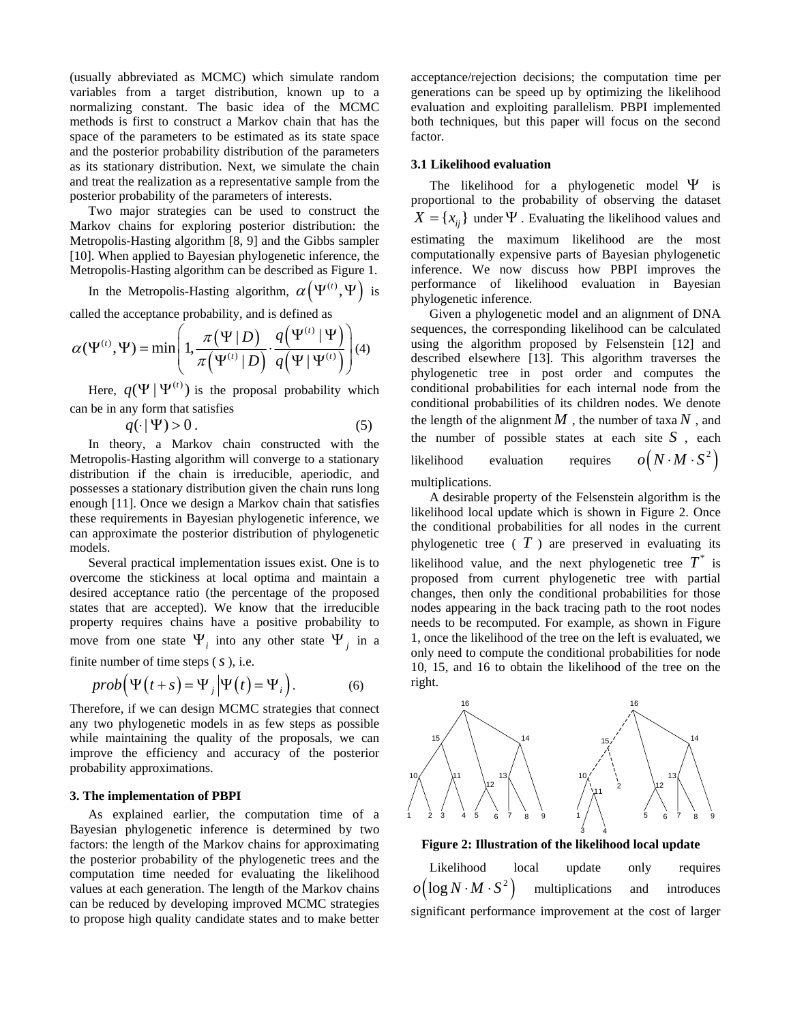(usually abbreviated as MCMC) which simulate random variables from a target distribution, known up to a normalizing constant. The basic idea of the MCMC methods is first to construct a Markov chain that has the space of the parameters to be estimated as its state space and the posterior probability distribution of the parameters as its stationary distribution. Next, we simulate the chain and treat the realization as a representative sample from the posterior probability of the parameters of interests.

Two major strategies can be used to construct the Markov chains for exploring posterior distribution: the Metropolis-Hasting algorithm [8, 9] and the Gibbs sampler [10]. When applied to Bayesian phylogenetic inference, the Metropolis-Hasting algorithm can be described as Figure 1.

In the Metropolis-Hasting algorithm,  $\alpha(\Psi^{(t)}, \Psi)$  is

called the acceptance probability, and is defined as

$$
\alpha(\Psi^{(t)}, \Psi) = \min\left(1, \frac{\pi(\Psi \mid D)}{\pi(\Psi^{(t)} \mid D)} \cdot \frac{q(\Psi^{(t)} \mid \Psi)}{q(\Psi \mid \Psi^{(t)})}\right) (4)
$$

Here,  $q(\Psi | \Psi^{(t)})$  is the proposal probability which can be in any form that satisfies

$$
q(\cdot | \Psi) > 0. \tag{5}
$$

In theory, a Markov chain constructed with the Metropolis-Hasting algorithm will converge to a stationary distribution if the chain is irreducible, aperiodic, and possesses a stationary distribution given the chain runs long enough [11]. Once we design a Markov chain that satisfies these requirements in Bayesian phylogenetic inference, we can approximate the posterior distribution of phylogenetic models.

Several practical implementation issues exist. One is to overcome the stickiness at local optima and maintain a desired acceptance ratio (the percentage of the proposed states that are accepted). We know that the irreducible property requires chains have a positive probability to move from one state  $\Psi$ , into any other state  $\Psi$ , in a finite number of time steps (*s* ), i.e.

$$
prob(\Psi(t+s) = \Psi_j | \Psi(t) = \Psi_i).
$$
 (6)

Therefore, if we can design MCMC strategies that connect any two phylogenetic models in as few steps as possible while maintaining the quality of the proposals, we can improve the efficiency and accuracy of the posterior probability approximations.

### **3. The implementation of PBPI**

As explained earlier, the computation time of a Bayesian phylogenetic inference is determined by two factors: the length of the Markov chains for approximating the posterior probability of the phylogenetic trees and the computation time needed for evaluating the likelihood values at each generation. The length of the Markov chains can be reduced by developing improved MCMC strategies to propose high quality candidate states and to make better

acceptance/rejection decisions; the computation time per generations can be speed up by optimizing the likelihood evaluation and exploiting parallelism. PBPI implemented both techniques, but this paper will focus on the second factor.

# **3.1 Likelihood evaluation**

The likelihood for a phylogenetic model Ψ is proportional to the probability of observing the dataset  ${X} = \{x_{ij}\}\$ under Ψ. Evaluating the likelihood values and estimating the maximum likelihood are the most computationally expensive parts of Bayesian phylogenetic inference. We now discuss how PBPI improves the performance of likelihood evaluation in Bayesian phylogenetic inference.

Given a phylogenetic model and an alignment of DNA sequences, the corresponding likelihood can be calculated using the algorithm proposed by Felsenstein [12] and described elsewhere [13]. This algorithm traverses the phylogenetic tree in post order and computes the conditional probabilities for each internal node from the conditional probabilities of its children nodes. We denote the length of the alignment  $M$ , the number of taxa  $N$ , and the number of possible states at each site  $S$ , each likelihood evaluation requires  $o(N \cdot M \cdot S^2)$ multiplications.

A desirable property of the Felsenstein algorithm is the likelihood local update which is shown in Figure 2. Once the conditional probabilities for all nodes in the current phylogenetic tree  $(T)$  are preserved in evaluating its likelihood value, and the next phylogenetic tree  $T^*$  is proposed from current phylogenetic tree with partial changes, then only the conditional probabilities for those nodes appearing in the back tracing path to the root nodes needs to be recomputed. For example, as shown in Figure 1, once the likelihood of the tree on the left is evaluated, we only need to compute the conditional probabilities for node 10, 15, and 16 to obtain the likelihood of the tree on the right.



**Figure 2: Illustration of the likelihood local update** 

Likelihood local update only requires  $o(\log N \cdot M \cdot S^2)$  multiplications and introduces significant performance improvement at the cost of larger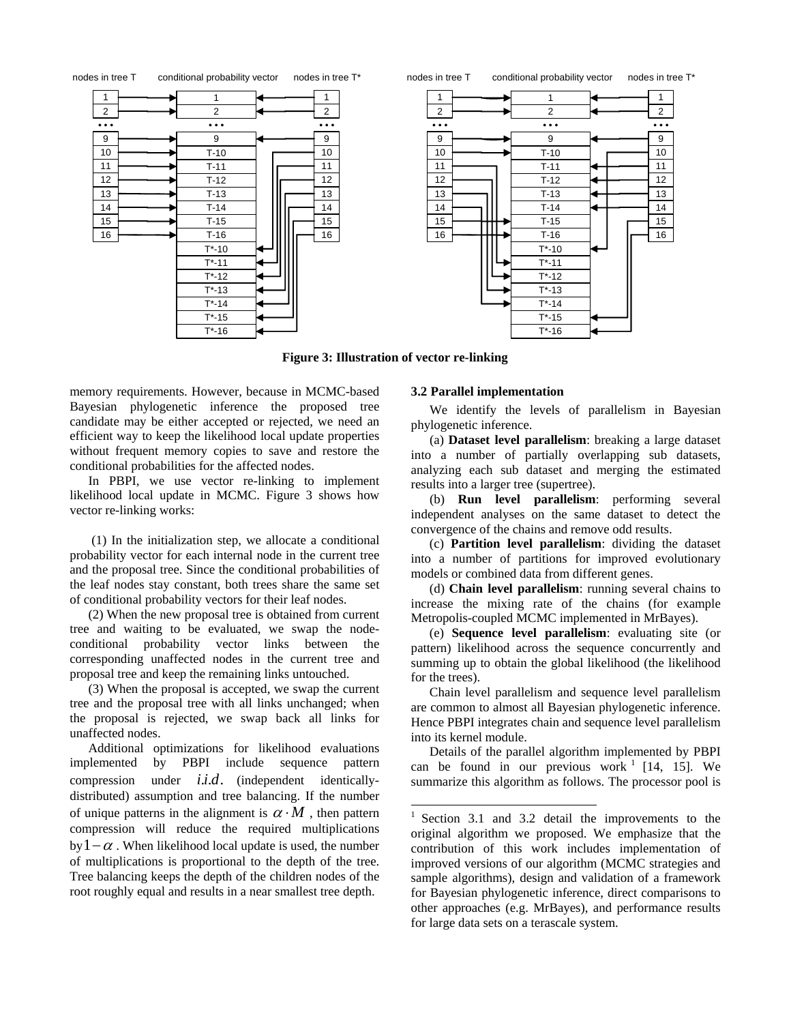

**Figure 3: Illustration of vector re-linking** 

l

memory requirements. However, because in MCMC-based Bayesian phylogenetic inference the proposed tree candidate may be either accepted or rejected, we need an efficient way to keep the likelihood local update properties without frequent memory copies to save and restore the conditional probabilities for the affected nodes.

In PBPI, we use vector re-linking to implement likelihood local update in MCMC. Figure 3 shows how vector re-linking works:

 (1) In the initialization step, we allocate a conditional probability vector for each internal node in the current tree and the proposal tree. Since the conditional probabilities of the leaf nodes stay constant, both trees share the same set of conditional probability vectors for their leaf nodes.

(2) When the new proposal tree is obtained from current tree and waiting to be evaluated, we swap the nodeconditional probability vector links between the corresponding unaffected nodes in the current tree and proposal tree and keep the remaining links untouched.

(3) When the proposal is accepted, we swap the current tree and the proposal tree with all links unchanged; when the proposal is rejected, we swap back all links for unaffected nodes.

Additional optimizations for likelihood evaluations implemented by PBPI include sequence pattern compression under *i.i.d.* (independent identicallydistributed) assumption and tree balancing. If the number of unique patterns in the alignment is  $\alpha \cdot M$ , then pattern compression will reduce the required multiplications by  $1-\alpha$ . When likelihood local update is used, the number of multiplications is proportional to the depth of the tree. Tree balancing keeps the depth of the children nodes of the root roughly equal and results in a near smallest tree depth.

### **3.2 Parallel implementation**

We identify the levels of parallelism in Bayesian phylogenetic inference.

(a) **Dataset level parallelism**: breaking a large dataset into a number of partially overlapping sub datasets, analyzing each sub dataset and merging the estimated results into a larger tree (supertree).

(b) **Run level parallelism**: performing several independent analyses on the same dataset to detect the convergence of the chains and remove odd results.

(c) **Partition level parallelism**: dividing the dataset into a number of partitions for improved evolutionary models or combined data from different genes.

(d) **Chain level parallelism**: running several chains to increase the mixing rate of the chains (for example Metropolis-coupled MCMC implemented in MrBayes).

(e) **Sequence level parallelism**: evaluating site (or pattern) likelihood across the sequence concurrently and summing up to obtain the global likelihood (the likelihood for the trees).

Chain level parallelism and sequence level parallelism are common to almost all Bayesian phylogenetic inference. Hence PBPI integrates chain and sequence level parallelism into its kernel module.

Details of the parallel algorithm implemented by PBPI can be found in our previous work  $1$  [14, 15]. We summarize this algorithm as follows. The processor pool is

<sup>1</sup> Section 3.1 and 3.2 detail the improvements to the original algorithm we proposed. We emphasize that the contribution of this work includes implementation of improved versions of our algorithm (MCMC strategies and sample algorithms), design and validation of a framework for Bayesian phylogenetic inference, direct comparisons to other approaches (e.g. MrBayes), and performance results for large data sets on a terascale system.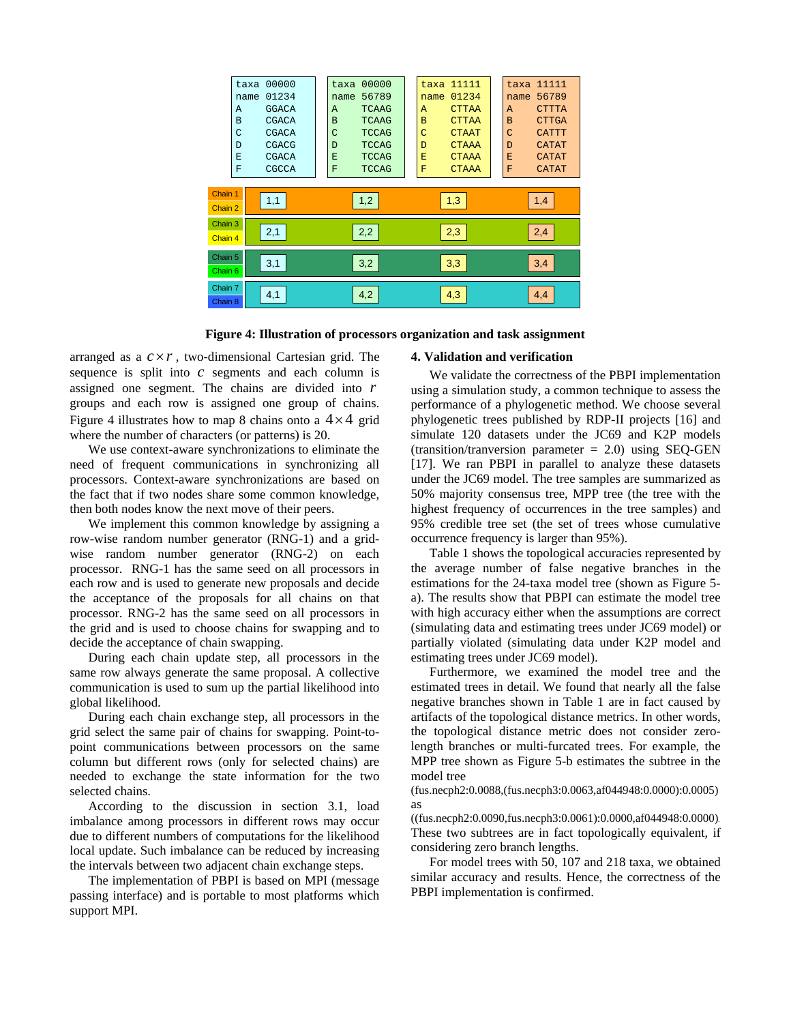|                    | taxa 00000                                 | taxa 00000                             | taxa 11111                             | taxa 11111                                          |
|--------------------|--------------------------------------------|----------------------------------------|----------------------------------------|-----------------------------------------------------|
|                    | 01234<br>name                              | 56789<br>name                          | 01234<br>name                          | 56789<br>name                                       |
|                    | <b>GGACA</b><br>$\mathsf{A}$<br>B<br>CGACA | <b>TCAAG</b><br>A<br><b>TCAAG</b><br>B | <b>CTTAA</b><br>A<br><b>CTTAA</b><br>B | <b>CTTTA</b><br>$\overline{A}$<br>B<br><b>CTTGA</b> |
|                    | $\mathcal{C}$<br>CGACA                     | C<br>TCCAG                             | C<br><b>CTAAT</b>                      | C<br><b>CATTT</b>                                   |
|                    | CGACG<br>D                                 | <b>TCCAG</b><br>D                      | <b>CTAAA</b><br>D                      | <b>CATAT</b><br>D                                   |
|                    | E<br>CGACA                                 | E<br><b>TCCAG</b>                      | <b>CTAAA</b><br>E.                     | E<br>CATAT                                          |
|                    | F<br>CGCCA                                 | F<br>TCCAG                             | <b>CTAAA</b><br>F                      | F<br><b>CATAT</b>                                   |
|                    |                                            |                                        |                                        |                                                     |
| Chain 1<br>Chain 2 | 1,1                                        | 1,2                                    | 1,3                                    | 1,4                                                 |
| Chain 3            |                                            |                                        |                                        |                                                     |
| Chain 4            | 2,1                                        | 2,2                                    | 2,3                                    | 2,4                                                 |
| Chain 5            | 3,1                                        | 3,2                                    | 3,3                                    | 3,4                                                 |
| Chain 6            |                                            |                                        |                                        |                                                     |
| Chain 7            |                                            |                                        |                                        |                                                     |
| Chain 8            | 4,1                                        | 4,2                                    | 4,3                                    | 4,4                                                 |

**Figure 4: Illustration of processors organization and task assignment** 

arranged as a  $c \times r$ , two-dimensional Cartesian grid. The sequence is split into *c* segments and each column is assigned one segment. The chains are divided into *r* groups and each row is assigned one group of chains. Figure 4 illustrates how to map 8 chains onto a  $4 \times 4$  grid where the number of characters (or patterns) is 20.

We use context-aware synchronizations to eliminate the need of frequent communications in synchronizing all processors. Context-aware synchronizations are based on the fact that if two nodes share some common knowledge, then both nodes know the next move of their peers.

We implement this common knowledge by assigning a row-wise random number generator (RNG-1) and a gridwise random number generator (RNG-2) on each processor. RNG-1 has the same seed on all processors in each row and is used to generate new proposals and decide the acceptance of the proposals for all chains on that processor. RNG-2 has the same seed on all processors in the grid and is used to choose chains for swapping and to decide the acceptance of chain swapping.

During each chain update step, all processors in the same row always generate the same proposal. A collective communication is used to sum up the partial likelihood into global likelihood.

During each chain exchange step, all processors in the grid select the same pair of chains for swapping. Point-topoint communications between processors on the same column but different rows (only for selected chains) are needed to exchange the state information for the two selected chains.

According to the discussion in section 3.1, load imbalance among processors in different rows may occur due to different numbers of computations for the likelihood local update. Such imbalance can be reduced by increasing the intervals between two adjacent chain exchange steps.

The implementation of PBPI is based on MPI (message passing interface) and is portable to most platforms which support MPI.

### **4. Validation and verification**

We validate the correctness of the PBPI implementation using a simulation study, a common technique to assess the performance of a phylogenetic method. We choose several phylogenetic trees published by RDP-II projects [16] and simulate 120 datasets under the JC69 and K2P models  $(transition/transition)$  parameter = 2.0) using SEO-GEN [17]. We ran PBPI in parallel to analyze these datasets under the JC69 model. The tree samples are summarized as 50% majority consensus tree, MPP tree (the tree with the highest frequency of occurrences in the tree samples) and 95% credible tree set (the set of trees whose cumulative occurrence frequency is larger than 95%).

Table 1 shows the topological accuracies represented by the average number of false negative branches in the estimations for the 24-taxa model tree (shown as Figure 5 a). The results show that PBPI can estimate the model tree with high accuracy either when the assumptions are correct (simulating data and estimating trees under JC69 model) or partially violated (simulating data under K2P model and estimating trees under JC69 model).

Furthermore, we examined the model tree and the estimated trees in detail. We found that nearly all the false negative branches shown in Table 1 are in fact caused by artifacts of the topological distance metrics. In other words, the topological distance metric does not consider zerolength branches or multi-furcated trees. For example, the MPP tree shown as Figure 5-b estimates the subtree in the model tree

(fus.necph2:0.0088,(fus.necph3:0.0063,af044948:0.0000):0.0005) as

((fus.necph2:0.0090,fus.necph3:0.0061):0.0000,af044948:0.0000). These two subtrees are in fact topologically equivalent, if considering zero branch lengths.

For model trees with 50, 107 and 218 taxa, we obtained similar accuracy and results. Hence, the correctness of the PBPI implementation is confirmed.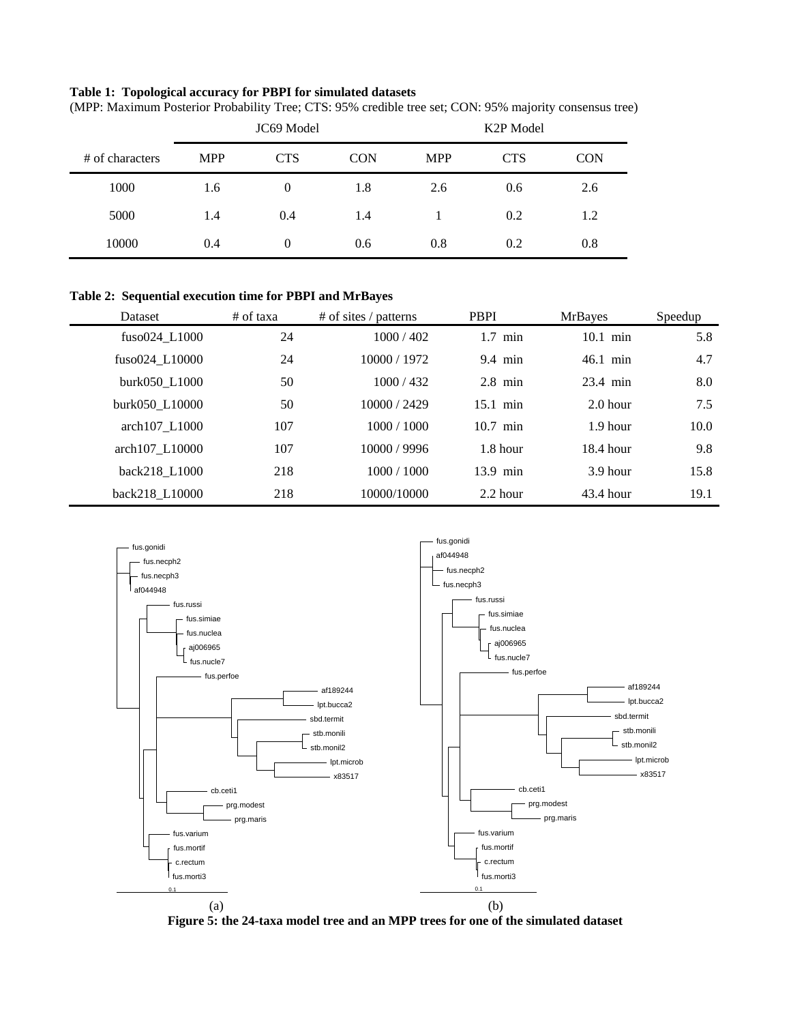# **Table 1: Topological accuracy for PBPI for simulated datasets**

|                 | JC69 Model |            |            | K <sub>2</sub> P Model |            |            |
|-----------------|------------|------------|------------|------------------------|------------|------------|
| # of characters | <b>MPP</b> | <b>CTS</b> | <b>CON</b> | <b>MPP</b>             | <b>CTS</b> | <b>CON</b> |
| 1000            | 1.6        | $\Omega$   | 1.8        | 2.6                    | 0.6        | 2.6        |
| 5000            | 1.4        | 0.4        | 1.4        |                        | 0.2        | 1.2        |
| 10000           | 0.4        | $\Omega$   | 0.6        | 0.8                    | 0.2        | 0.8        |

(MPP: Maximum Posterior Probability Tree; CTS: 95% credible tree set; CON: 95% majority consensus tree)

# **Table 2: Sequential execution time for PBPI and MrBayes**

| <b>Dataset</b> | $#$ of taxa | # of sites / patterns | <b>PBPI</b> | <b>MrBayes</b> | Speedup |
|----------------|-------------|-----------------------|-------------|----------------|---------|
| fuso024 L1000  | 24          | 1000 / 402            | $1.7$ min   | $10.1$ min     | 5.8     |
| fuso024 L10000 | 24          | 10000 / 1972          | $9.4$ min   | $46.1$ min     | 4.7     |
| burk050 L1000  | 50          | 1000 / 432            | $2.8$ min   | 23.4 min       | 8.0     |
| burk050 L10000 | 50          | 10000/2429            | $15.1$ min  | $2.0$ hour     | 7.5     |
| arch107 L1000  | 107         | 1000 / 1000           | $10.7$ min  | $1.9$ hour     | 10.0    |
| arch107_L10000 | 107         | 10000 / 9996          | $1.8$ hour  | $18.4$ hour    | 9.8     |
| back218 L1000  | 218         | 1000 / 1000           | $13.9$ min  | $3.9$ hour     | 15.8    |
| back218 L10000 | 218         | 10000/10000           | $2.2$ hour  | $43.4$ hour    | 19.1    |



**Figure 5: the 24-taxa model tree and an MPP trees for one of the simulated dataset**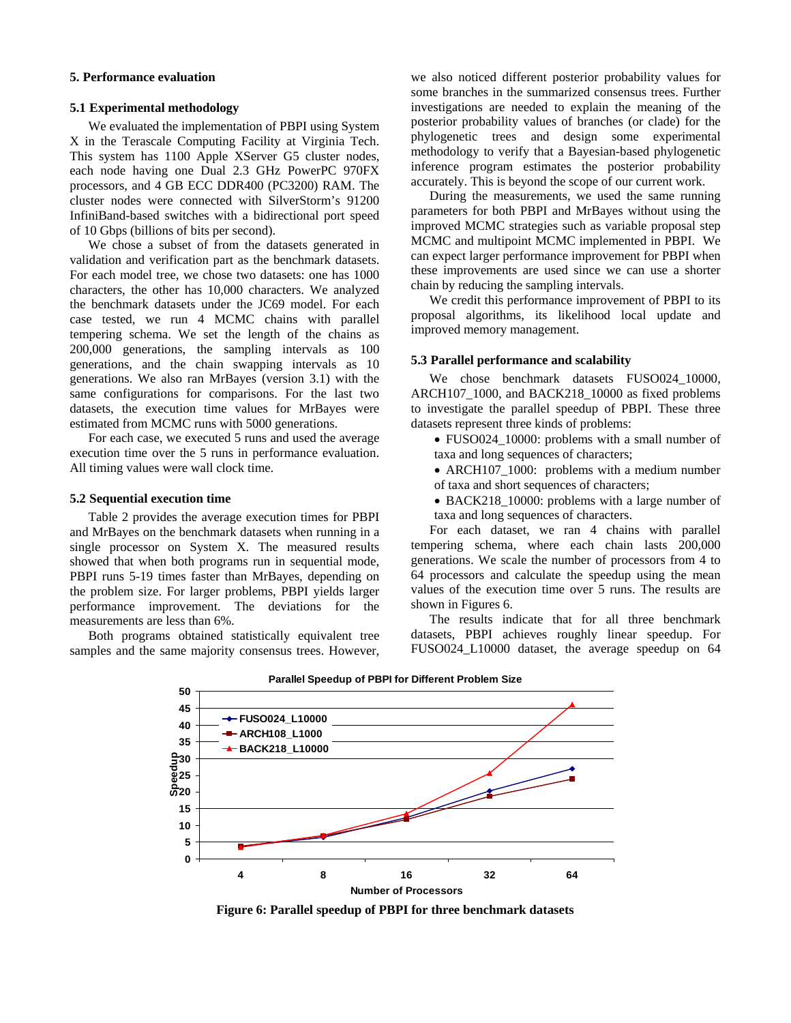### **5. Performance evaluation**

#### **5.1 Experimental methodology**

We evaluated the implementation of PBPI using System X in the Terascale Computing Facility at Virginia Tech. This system has 1100 Apple XServer G5 cluster nodes, each node having one Dual 2.3 GHz PowerPC 970FX processors, and 4 GB ECC DDR400 (PC3200) RAM. The cluster nodes were connected with SilverStorm's 91200 InfiniBand-based switches with a bidirectional port speed of 10 Gbps (billions of bits per second).

We chose a subset of from the datasets generated in validation and verification part as the benchmark datasets. For each model tree, we chose two datasets: one has 1000 characters, the other has 10,000 characters. We analyzed the benchmark datasets under the JC69 model. For each case tested, we run 4 MCMC chains with parallel tempering schema. We set the length of the chains as 200,000 generations, the sampling intervals as 100 generations, and the chain swapping intervals as 10 generations. We also ran MrBayes (version 3.1) with the same configurations for comparisons. For the last two datasets, the execution time values for MrBayes were estimated from MCMC runs with 5000 generations.

For each case, we executed 5 runs and used the average execution time over the 5 runs in performance evaluation. All timing values were wall clock time.

### **5.2 Sequential execution time**

Table 2 provides the average execution times for PBPI and MrBayes on the benchmark datasets when running in a single processor on System X. The measured results showed that when both programs run in sequential mode, PBPI runs 5-19 times faster than MrBayes, depending on the problem size. For larger problems, PBPI yields larger performance improvement. The deviations for the measurements are less than 6%.

Both programs obtained statistically equivalent tree samples and the same majority consensus trees. However,

we also noticed different posterior probability values for some branches in the summarized consensus trees. Further investigations are needed to explain the meaning of the posterior probability values of branches (or clade) for the phylogenetic trees and design some experimental methodology to verify that a Bayesian-based phylogenetic inference program estimates the posterior probability accurately. This is beyond the scope of our current work.

During the measurements, we used the same running parameters for both PBPI and MrBayes without using the improved MCMC strategies such as variable proposal step MCMC and multipoint MCMC implemented in PBPI. We can expect larger performance improvement for PBPI when these improvements are used since we can use a shorter chain by reducing the sampling intervals.

We credit this performance improvement of PBPI to its proposal algorithms, its likelihood local update and improved memory management.

#### **5.3 Parallel performance and scalability**

We chose benchmark datasets FUSO024 10000, ARCH107 1000, and BACK218 10000 as fixed problems to investigate the parallel speedup of PBPI. These three datasets represent three kinds of problems:

- FUSO024 10000: problems with a small number of taxa and long sequences of characters;
- ARCH107\_1000: problems with a medium number of taxa and short sequences of characters;
- BACK218 10000: problems with a large number of taxa and long sequences of characters.

For each dataset, we ran 4 chains with parallel tempering schema, where each chain lasts 200,000 generations. We scale the number of processors from 4 to 64 processors and calculate the speedup using the mean values of the execution time over 5 runs. The results are shown in Figures 6.

The results indicate that for all three benchmark datasets, PBPI achieves roughly linear speedup. For FUSO024\_L10000 dataset, the average speedup on 64



**Parallel Speedup of PBPI for Different Problem Size**

**Figure 6: Parallel speedup of PBPI for three benchmark datasets**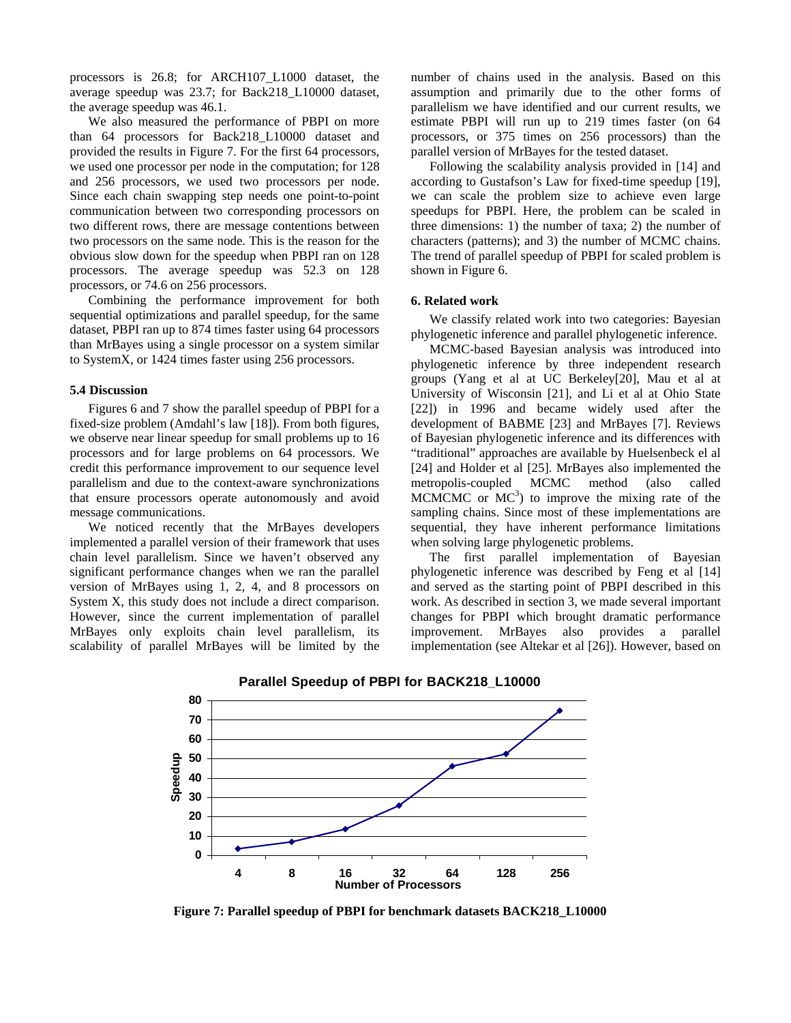processors is 26.8; for ARCH107\_L1000 dataset, the average speedup was 23.7; for Back218\_L10000 dataset, the average speedup was 46.1.

We also measured the performance of PBPI on more than 64 processors for Back218\_L10000 dataset and provided the results in Figure 7. For the first 64 processors, we used one processor per node in the computation; for 128 and 256 processors, we used two processors per node. Since each chain swapping step needs one point-to-point communication between two corresponding processors on two different rows, there are message contentions between two processors on the same node. This is the reason for the obvious slow down for the speedup when PBPI ran on 128 processors. The average speedup was 52.3 on 128 processors, or 74.6 on 256 processors.

Combining the performance improvement for both sequential optimizations and parallel speedup, for the same dataset, PBPI ran up to 874 times faster using 64 processors than MrBayes using a single processor on a system similar to SystemX, or 1424 times faster using 256 processors.

### **5.4 Discussion**

Figures 6 and 7 show the parallel speedup of PBPI for a fixed-size problem (Amdahl's law [18]). From both figures, we observe near linear speedup for small problems up to 16 processors and for large problems on 64 processors. We credit this performance improvement to our sequence level parallelism and due to the context-aware synchronizations that ensure processors operate autonomously and avoid message communications.

We noticed recently that the MrBayes developers implemented a parallel version of their framework that uses chain level parallelism. Since we haven't observed any significant performance changes when we ran the parallel version of MrBayes using 1, 2, 4, and 8 processors on System X, this study does not include a direct comparison. However, since the current implementation of parallel MrBayes only exploits chain level parallelism, its scalability of parallel MrBayes will be limited by the

number of chains used in the analysis. Based on this assumption and primarily due to the other forms of parallelism we have identified and our current results, we estimate PBPI will run up to 219 times faster (on 64 processors, or 375 times on 256 processors) than the parallel version of MrBayes for the tested dataset.

Following the scalability analysis provided in [14] and according to Gustafson's Law for fixed-time speedup [19], we can scale the problem size to achieve even large speedups for PBPI. Here, the problem can be scaled in three dimensions: 1) the number of taxa; 2) the number of characters (patterns); and 3) the number of MCMC chains. The trend of parallel speedup of PBPI for scaled problem is shown in Figure 6.

### **6. Related work**

We classify related work into two categories: Bayesian phylogenetic inference and parallel phylogenetic inference.

MCMC-based Bayesian analysis was introduced into phylogenetic inference by three independent research groups (Yang et al at UC Berkeley[20], Mau et al at University of Wisconsin [21], and Li et al at Ohio State [22]) in 1996 and became widely used after the development of BABME [23] and MrBayes [7]. Reviews of Bayesian phylogenetic inference and its differences with "traditional" approaches are available by Huelsenbeck el al [24] and Holder et al [25]. MrBayes also implemented the metropolis-coupled MCMC method (also called MCMCMC or  $MC^3$ ) to improve the mixing rate of the sampling chains. Since most of these implementations are sequential, they have inherent performance limitations when solving large phylogenetic problems.

The first parallel implementation of Bayesian phylogenetic inference was described by Feng et al [14] and served as the starting point of PBPI described in this work. As described in section 3, we made several important changes for PBPI which brought dramatic performance improvement. MrBayes also provides a parallel implementation (see Altekar et al [26]). However, based on



**Figure 7: Parallel speedup of PBPI for benchmark datasets BACK218\_L10000**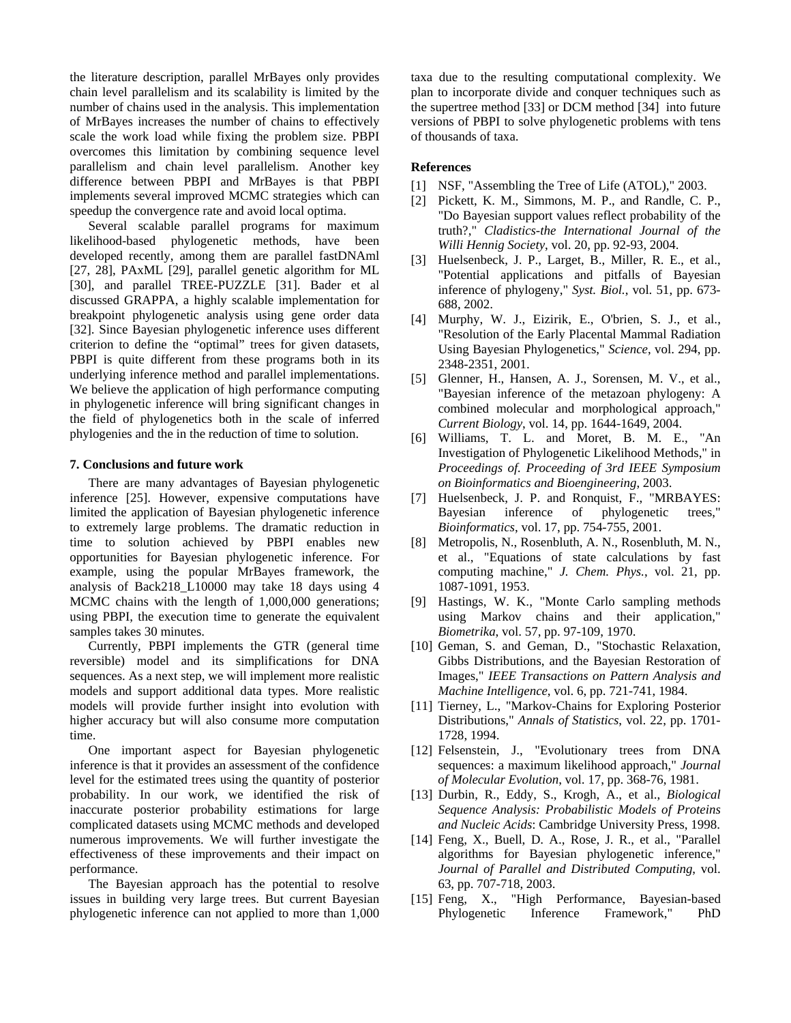the literature description, parallel MrBayes only provides chain level parallelism and its scalability is limited by the number of chains used in the analysis. This implementation of MrBayes increases the number of chains to effectively scale the work load while fixing the problem size. PBPI overcomes this limitation by combining sequence level parallelism and chain level parallelism. Another key difference between PBPI and MrBayes is that PBPI implements several improved MCMC strategies which can speedup the convergence rate and avoid local optima.

Several scalable parallel programs for maximum likelihood-based phylogenetic methods, have been developed recently, among them are parallel fastDNAml [27, 28], PAxML [29], parallel genetic algorithm for ML [30], and parallel TREE-PUZZLE [31]. Bader et al discussed GRAPPA, a highly scalable implementation for breakpoint phylogenetic analysis using gene order data [32]. Since Bayesian phylogenetic inference uses different criterion to define the "optimal" trees for given datasets, PBPI is quite different from these programs both in its underlying inference method and parallel implementations. We believe the application of high performance computing in phylogenetic inference will bring significant changes in the field of phylogenetics both in the scale of inferred phylogenies and the in the reduction of time to solution.

### **7. Conclusions and future work**

There are many advantages of Bayesian phylogenetic inference [25]. However, expensive computations have limited the application of Bayesian phylogenetic inference to extremely large problems. The dramatic reduction in time to solution achieved by PBPI enables new opportunities for Bayesian phylogenetic inference. For example, using the popular MrBayes framework, the analysis of Back218\_L10000 may take 18 days using 4 MCMC chains with the length of 1,000,000 generations; using PBPI, the execution time to generate the equivalent samples takes 30 minutes.

Currently, PBPI implements the GTR (general time reversible) model and its simplifications for DNA sequences. As a next step, we will implement more realistic models and support additional data types. More realistic models will provide further insight into evolution with higher accuracy but will also consume more computation time.

One important aspect for Bayesian phylogenetic inference is that it provides an assessment of the confidence level for the estimated trees using the quantity of posterior probability. In our work, we identified the risk of inaccurate posterior probability estimations for large complicated datasets using MCMC methods and developed numerous improvements. We will further investigate the effectiveness of these improvements and their impact on performance.

The Bayesian approach has the potential to resolve issues in building very large trees. But current Bayesian phylogenetic inference can not applied to more than 1,000

taxa due to the resulting computational complexity. We plan to incorporate divide and conquer techniques such as the supertree method [33] or DCM method [34] into future versions of PBPI to solve phylogenetic problems with tens of thousands of taxa.

### **References**

- [1] NSF, "Assembling the Tree of Life (ATOL)," 2003.
- [2] Pickett, K. M., Simmons, M. P., and Randle, C. P., "Do Bayesian support values reflect probability of the truth?," *Cladistics-the International Journal of the Willi Hennig Society*, vol. 20, pp. 92-93, 2004.
- [3] Huelsenbeck, J. P., Larget, B., Miller, R. E., et al., "Potential applications and pitfalls of Bayesian inference of phylogeny," *Syst. Biol.*, vol. 51, pp. 673- 688, 2002.
- [4] Murphy, W. J., Eizirik, E., O'brien, S. J., et al., "Resolution of the Early Placental Mammal Radiation Using Bayesian Phylogenetics," *Science*, vol. 294, pp. 2348-2351, 2001.
- [5] Glenner, H., Hansen, A. J., Sorensen, M. V., et al., "Bayesian inference of the metazoan phylogeny: A combined molecular and morphological approach," *Current Biology*, vol. 14, pp. 1644-1649, 2004.
- [6] Williams, T. L. and Moret, B. M. E., "An Investigation of Phylogenetic Likelihood Methods," in *Proceedings of. Proceeding of 3rd IEEE Symposium on Bioinformatics and Bioengineering*, 2003.
- [7] Huelsenbeck, J. P. and Ronquist, F., "MRBAYES: Bayesian inference of phylogenetic trees," *Bioinformatics*, vol. 17, pp. 754-755, 2001.
- [8] Metropolis, N., Rosenbluth, A. N., Rosenbluth, M. N., et al., "Equations of state calculations by fast computing machine," *J. Chem. Phys.*, vol. 21, pp. 1087-1091, 1953.
- [9] Hastings, W. K., "Monte Carlo sampling methods using Markov chains and their application," *Biometrika*, vol. 57, pp. 97-109, 1970.
- [10] Geman, S. and Geman, D., "Stochastic Relaxation, Gibbs Distributions, and the Bayesian Restoration of Images," *IEEE Transactions on Pattern Analysis and Machine Intelligence*, vol. 6, pp. 721-741, 1984.
- [11] Tierney, L., "Markov-Chains for Exploring Posterior Distributions," *Annals of Statistics*, vol. 22, pp. 1701- 1728, 1994.
- [12] Felsenstein, J., "Evolutionary trees from DNA sequences: a maximum likelihood approach," *Journal of Molecular Evolution*, vol. 17, pp. 368-76, 1981.
- [13] Durbin, R., Eddy, S., Krogh, A., et al., *Biological Sequence Analysis: Probabilistic Models of Proteins and Nucleic Acids*: Cambridge University Press, 1998.
- [14] Feng, X., Buell, D. A., Rose, J. R., et al., "Parallel algorithms for Bayesian phylogenetic inference," *Journal of Parallel and Distributed Computing*, vol. 63, pp. 707-718, 2003.
- [15] Feng, X., "High Performance, Bayesian-based Phylogenetic Inference Framework," PhD